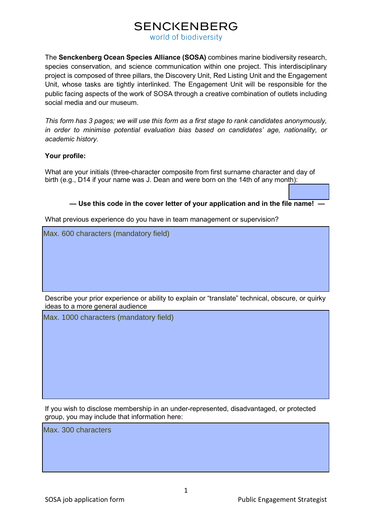# **SENCKENBERG**

world of biodiversity

The **Senckenberg Ocean Species Alliance (SOSA)** combines marine biodiversity research, species conservation, and science communication within one project. This interdisciplinary project is composed of three pillars, the Discovery Unit, Red Listing Unit and the Engagement Unit, whose tasks are tightly interlinked. The Engagement Unit will be responsible for the public facing aspects of the work of SOSA through a creative combination of outlets including social media and our museum.

*This form has 3 pages; we will use this form as a first stage to rank candidates anonymously, in order to minimise potential evaluation bias based on candidates' age, nationality, or academic history.* 

### **Your profile:**

What are your initials (three-character composite from first surname character and day of birth (e.g., D14 if your name was J. Dean and were born on the 14th of any month):

### **— Use this code in the cover letter of your application and in the file name! —**

What previous experience do you have in team management or supervision?

Max. 600 characters (mandatory field)

Describe your prior experience or ability to explain or "translate" technical, obscure, or quirky ideas to a more general audience

Max. 1000 characters (mandatory field)

If you wish to disclose membership in an under-represented, disadvantaged, or protected group, you may include that information here:

Max. 300 characters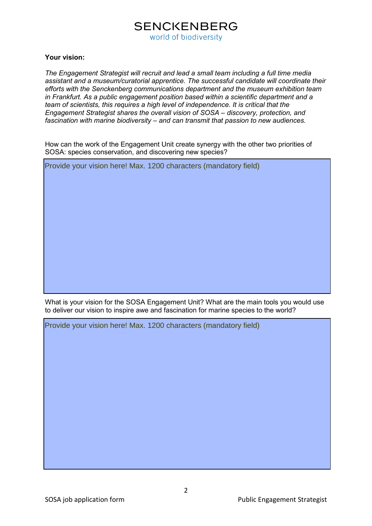### **SENCKENBERG** world of biodiversity

#### **Your vision:**

*The Engagement Strategist will recruit and lead a small team including a full time media assistant and a museum/curatorial apprentice. The successful candidate will coordinate their efforts with the Senckenberg communications department and the museum exhibition team in Frankfurt. As a public engagement position based within a scientific department and a team of scientists, this requires a high level of independence. It is critical that the Engagement Strategist shares the overall vision of SOSA – discovery, protection, and fascination with marine biodiversity – and can transmit that passion to new audiences.*

How can the work of the Engagement Unit create synergy with the other two priorities of SOSA: species conservation, and discovering new species?

Provide your vision here! Max. 1200 characters (mandatory field)

What is your vision for the SOSA Engagement Unit? What are the main tools you would use to deliver our vision to inspire awe and fascination for marine species to the world?

Provide your vision here! Max. 1200 characters (mandatory field)